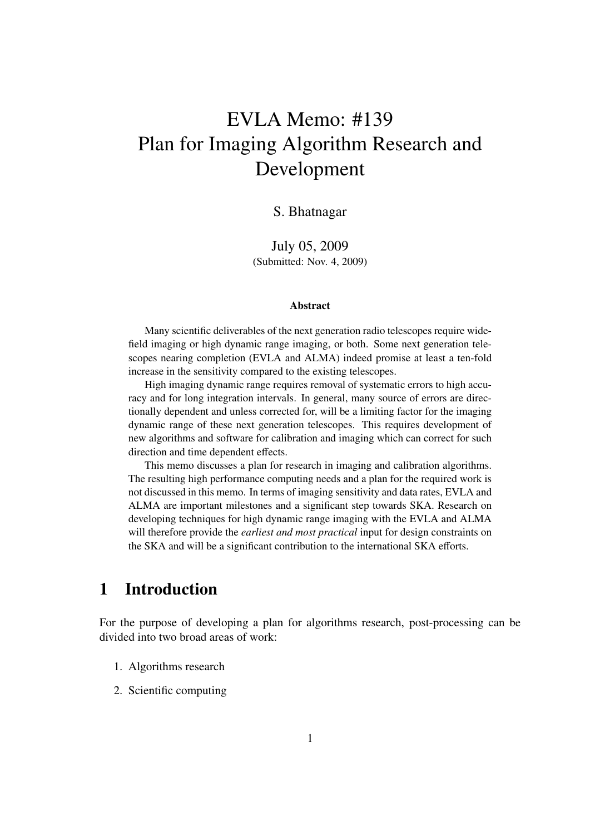# EVLA Memo: #139 Plan for Imaging Algorithm Research and Development

## S. Bhatnagar

July 05, 2009 (Submitted: Nov. 4, 2009)

#### Abstract

Many scientific deliverables of the next generation radio telescopes require widefield imaging or high dynamic range imaging, or both. Some next generation telescopes nearing completion (EVLA and ALMA) indeed promise at least a ten-fold increase in the sensitivity compared to the existing telescopes.

High imaging dynamic range requires removal of systematic errors to high accuracy and for long integration intervals. In general, many source of errors are directionally dependent and unless corrected for, will be a limiting factor for the imaging dynamic range of these next generation telescopes. This requires development of new algorithms and software for calibration and imaging which can correct for such direction and time dependent effects.

This memo discusses a plan for research in imaging and calibration algorithms. The resulting high performance computing needs and a plan for the required work is not discussed in this memo. In terms of imaging sensitivity and data rates, EVLA and ALMA are important milestones and a significant step towards SKA. Research on developing techniques for high dynamic range imaging with the EVLA and ALMA will therefore provide the *earliest and most practical* input for design constraints on the SKA and will be a significant contribution to the international SKA efforts.

## 1 Introduction

For the purpose of developing a plan for algorithms research, post-processing can be divided into two broad areas of work:

- 1. Algorithms research
- 2. Scientific computing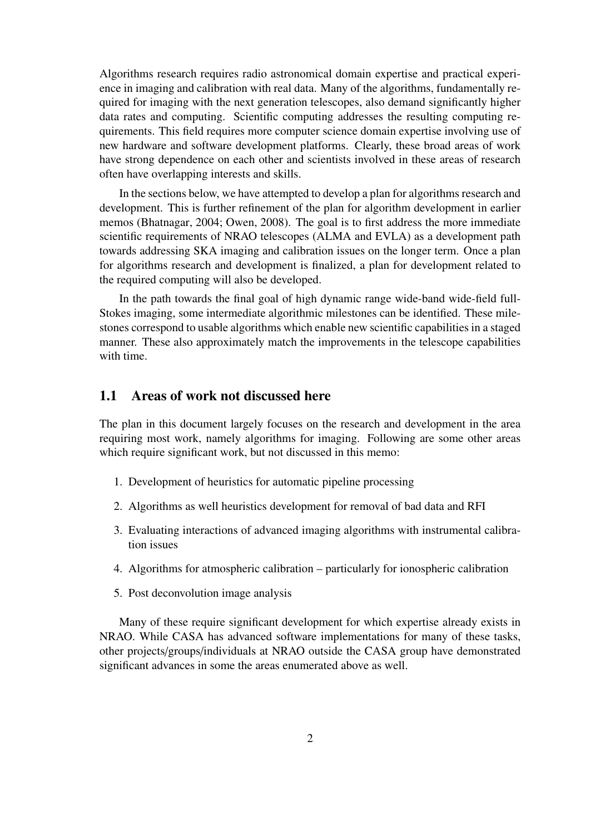Algorithms research requires radio astronomical domain expertise and practical experience in imaging and calibration with real data. Many of the algorithms, fundamentally required for imaging with the next generation telescopes, also demand significantly higher data rates and computing. Scientific computing addresses the resulting computing requirements. This field requires more computer science domain expertise involving use of new hardware and software development platforms. Clearly, these broad areas of work have strong dependence on each other and scientists involved in these areas of research often have overlapping interests and skills.

In the sections below, we have attempted to develop a plan for algorithms research and development. This is further refinement of the plan for algorithm development in earlier memos (Bhatnagar, 2004; Owen, 2008). The goal is to first address the more immediate scientific requirements of NRAO telescopes (ALMA and EVLA) as a development path towards addressing SKA imaging and calibration issues on the longer term. Once a plan for algorithms research and development is finalized, a plan for development related to the required computing will also be developed.

In the path towards the final goal of high dynamic range wide-band wide-field full-Stokes imaging, some intermediate algorithmic milestones can be identified. These milestones correspond to usable algorithms which enable new scientific capabilities in a staged manner. These also approximately match the improvements in the telescope capabilities with time.

## 1.1 Areas of work not discussed here

The plan in this document largely focuses on the research and development in the area requiring most work, namely algorithms for imaging. Following are some other areas which require significant work, but not discussed in this memo:

- 1. Development of heuristics for automatic pipeline processing
- 2. Algorithms as well heuristics development for removal of bad data and RFI
- 3. Evaluating interactions of advanced imaging algorithms with instrumental calibration issues
- 4. Algorithms for atmospheric calibration particularly for ionospheric calibration
- 5. Post deconvolution image analysis

Many of these require significant development for which expertise already exists in NRAO. While CASA has advanced software implementations for many of these tasks, other projects/groups/individuals at NRAO outside the CASA group have demonstrated significant advances in some the areas enumerated above as well.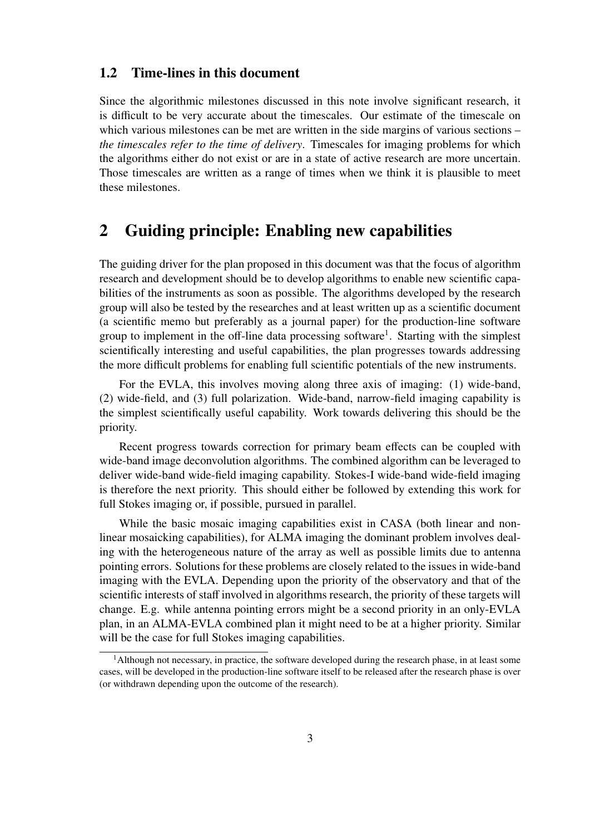## 1.2 Time-lines in this document

Since the algorithmic milestones discussed in this note involve significant research, it is difficult to be very accurate about the timescales. Our estimate of the timescale on which various milestones can be met are written in the side margins of various sections – *the timescales refer to the time of delivery*. Timescales for imaging problems for which the algorithms either do not exist or are in a state of active research are more uncertain. Those timescales are written as a range of times when we think it is plausible to meet these milestones.

## 2 Guiding principle: Enabling new capabilities

The guiding driver for the plan proposed in this document was that the focus of algorithm research and development should be to develop algorithms to enable new scientific capabilities of the instruments as soon as possible. The algorithms developed by the research group will also be tested by the researches and at least written up as a scientific document (a scientific memo but preferably as a journal paper) for the production-line software group to implement in the off-line data processing software<sup>1</sup>. Starting with the simplest scientifically interesting and useful capabilities, the plan progresses towards addressing the more difficult problems for enabling full scientific potentials of the new instruments.

For the EVLA, this involves moving along three axis of imaging: (1) wide-band, (2) wide-field, and (3) full polarization. Wide-band, narrow-field imaging capability is the simplest scientifically useful capability. Work towards delivering this should be the priority.

Recent progress towards correction for primary beam effects can be coupled with wide-band image deconvolution algorithms. The combined algorithm can be leveraged to deliver wide-band wide-field imaging capability. Stokes-I wide-band wide-field imaging is therefore the next priority. This should either be followed by extending this work for full Stokes imaging or, if possible, pursued in parallel.

While the basic mosaic imaging capabilities exist in CASA (both linear and nonlinear mosaicking capabilities), for ALMA imaging the dominant problem involves dealing with the heterogeneous nature of the array as well as possible limits due to antenna pointing errors. Solutions for these problems are closely related to the issues in wide-band imaging with the EVLA. Depending upon the priority of the observatory and that of the scientific interests of staff involved in algorithms research, the priority of these targets will change. E.g. while antenna pointing errors might be a second priority in an only-EVLA plan, in an ALMA-EVLA combined plan it might need to be at a higher priority. Similar will be the case for full Stokes imaging capabilities.

 $<sup>1</sup>$ Although not necessary, in practice, the software developed during the research phase, in at least some</sup> cases, will be developed in the production-line software itself to be released after the research phase is over (or withdrawn depending upon the outcome of the research).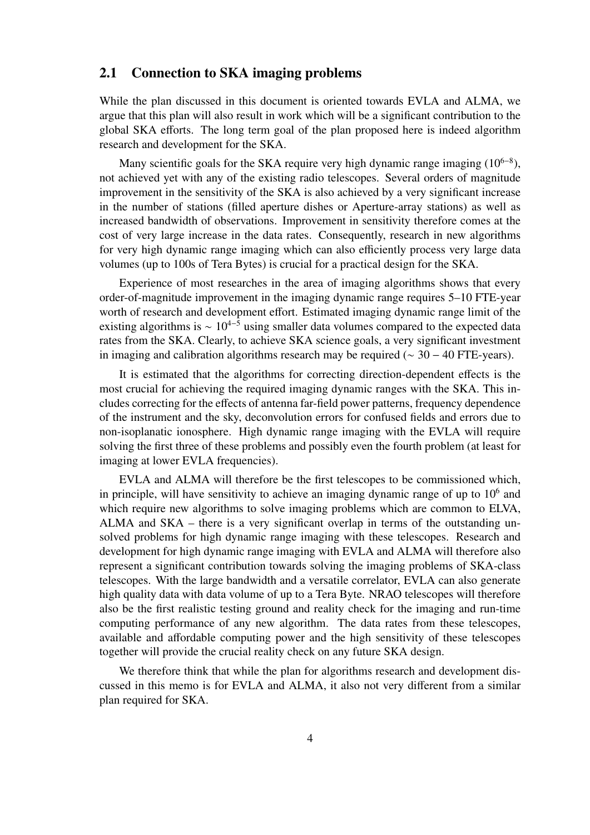## 2.1 Connection to SKA imaging problems

While the plan discussed in this document is oriented towards EVLA and ALMA, we argue that this plan will also result in work which will be a significant contribution to the global SKA efforts. The long term goal of the plan proposed here is indeed algorithm research and development for the SKA.

Many scientific goals for the SKA require very high dynamic range imaging  $(10^{6-8})$ , not achieved yet with any of the existing radio telescopes. Several orders of magnitude improvement in the sensitivity of the SKA is also achieved by a very significant increase in the number of stations (filled aperture dishes or Aperture-array stations) as well as increased bandwidth of observations. Improvement in sensitivity therefore comes at the cost of very large increase in the data rates. Consequently, research in new algorithms for very high dynamic range imaging which can also efficiently process very large data volumes (up to 100s of Tera Bytes) is crucial for a practical design for the SKA.

Experience of most researches in the area of imaging algorithms shows that every order-of-magnitude improvement in the imaging dynamic range requires 5–10 FTE-year worth of research and development effort. Estimated imaging dynamic range limit of the existing algorithms is  $\sim 10^{4-5}$  using smaller data volumes compared to the expected data rates from the SKA. Clearly, to achieve SKA science goals, a very significant investment in imaging and calibration algorithms research may be required ( $\sim$  30 – 40 FTE-years).

It is estimated that the algorithms for correcting direction-dependent effects is the most crucial for achieving the required imaging dynamic ranges with the SKA. This includes correcting for the effects of antenna far-field power patterns, frequency dependence of the instrument and the sky, deconvolution errors for confused fields and errors due to non-isoplanatic ionosphere. High dynamic range imaging with the EVLA will require solving the first three of these problems and possibly even the fourth problem (at least for imaging at lower EVLA frequencies).

EVLA and ALMA will therefore be the first telescopes to be commissioned which, in principle, will have sensitivity to achieve an imaging dynamic range of up to  $10<sup>6</sup>$  and which require new algorithms to solve imaging problems which are common to ELVA, ALMA and SKA – there is a very significant overlap in terms of the outstanding unsolved problems for high dynamic range imaging with these telescopes. Research and development for high dynamic range imaging with EVLA and ALMA will therefore also represent a significant contribution towards solving the imaging problems of SKA-class telescopes. With the large bandwidth and a versatile correlator, EVLA can also generate high quality data with data volume of up to a Tera Byte. NRAO telescopes will therefore also be the first realistic testing ground and reality check for the imaging and run-time computing performance of any new algorithm. The data rates from these telescopes, available and affordable computing power and the high sensitivity of these telescopes together will provide the crucial reality check on any future SKA design.

We therefore think that while the plan for algorithms research and development discussed in this memo is for EVLA and ALMA, it also not very different from a similar plan required for SKA.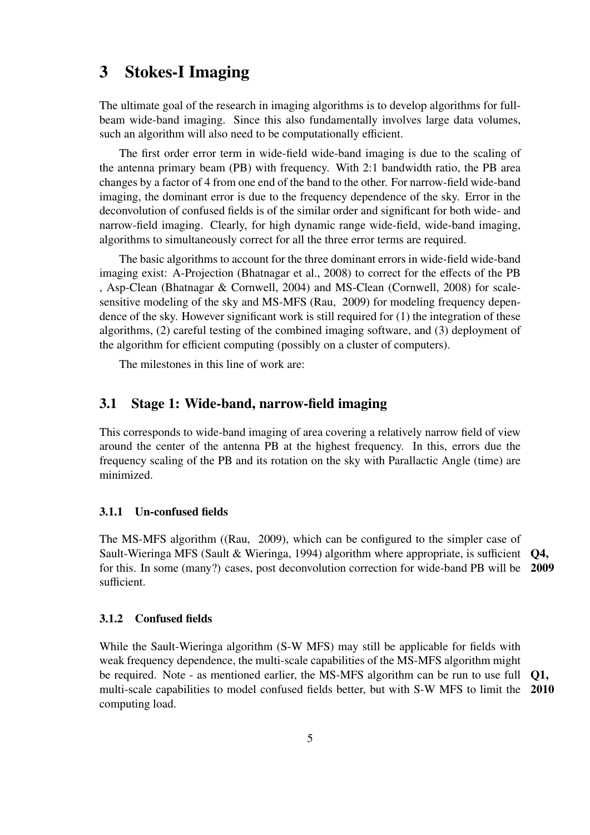## 3 Stokes-I Imaging

The ultimate goal of the research in imaging algorithms is to develop algorithms for fullbeam wide-band imaging. Since this also fundamentally involves large data volumes, such an algorithm will also need to be computationally efficient.

The first order error term in wide-field wide-band imaging is due to the scaling of the antenna primary beam (PB) with frequency. With 2:1 bandwidth ratio, the PB area changes by a factor of 4 from one end of the band to the other. For narrow-field wide-band imaging, the dominant error is due to the frequency dependence of the sky. Error in the deconvolution of confused fields is of the similar order and significant for both wide- and narrow-field imaging. Clearly, for high dynamic range wide-field, wide-band imaging, algorithms to simultaneously correct for all the three error terms are required.

The basic algorithms to account for the three dominant errors in wide-field wide-band imaging exist: A-Projection (Bhatnagar et al., 2008) to correct for the effects of the PB , Asp-Clean (Bhatnagar & Cornwell, 2004) and MS-Clean (Cornwell, 2008) for scalesensitive modeling of the sky and MS-MFS (Rau, 2009) for modeling frequency dependence of the sky. However significant work is still required for (1) the integration of these algorithms, (2) careful testing of the combined imaging software, and (3) deployment of the algorithm for efficient computing (possibly on a cluster of computers).

The milestones in this line of work are:

## 3.1 Stage 1: Wide-band, narrow-field imaging

This corresponds to wide-band imaging of area covering a relatively narrow field of view around the center of the antenna PB at the highest frequency. In this, errors due the frequency scaling of the PB and its rotation on the sky with Parallactic Angle (time) are minimized.

### 3.1.1 Un-confused fields

The MS-MFS algorithm ((Rau, 2009), which can be configured to the simpler case of Sault-Wieringa MFS (Sault & Wieringa, 1994) algorithm where appropriate, is sufficient Q4, for this. In some (many?) cases, post deconvolution correction for wide-band PB will be 2009 sufficient.

#### 3.1.2 Confused fields

While the Sault-Wieringa algorithm (S-W MFS) may still be applicable for fields with weak frequency dependence, the multi-scale capabilities of the MS-MFS algorithm might be required. Note - as mentioned earlier, the MS-MFS algorithm can be run to use full Q1, multi-scale capabilities to model confused fields better, but with S-W MFS to limit the 2010 computing load.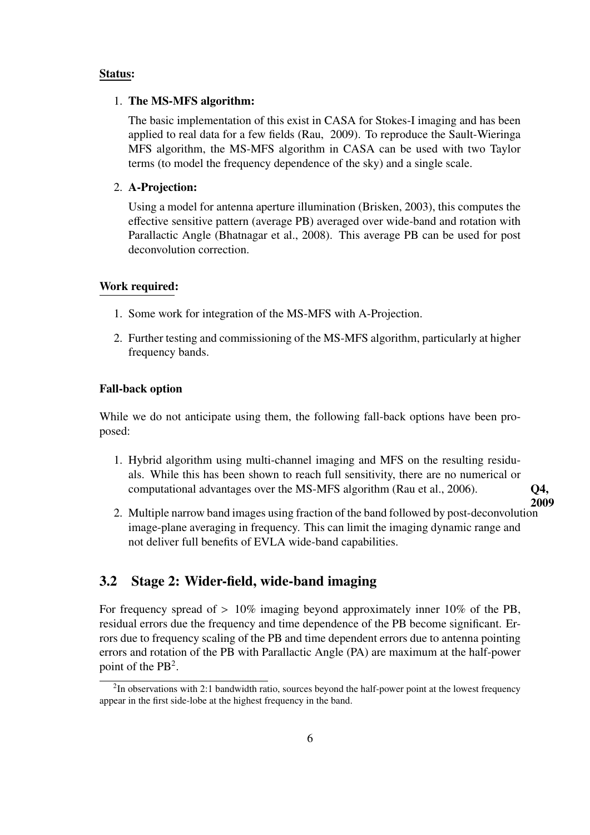#### Status:

#### 1. The MS-MFS algorithm:

The basic implementation of this exist in CASA for Stokes-I imaging and has been applied to real data for a few fields (Rau, 2009). To reproduce the Sault-Wieringa MFS algorithm, the MS-MFS algorithm in CASA can be used with two Taylor terms (to model the frequency dependence of the sky) and a single scale.

#### 2. A-Projection:

Using a model for antenna aperture illumination (Brisken, 2003), this computes the effective sensitive pattern (average PB) averaged over wide-band and rotation with Parallactic Angle (Bhatnagar et al., 2008). This average PB can be used for post deconvolution correction.

#### Work required:

- 1. Some work for integration of the MS-MFS with A-Projection.
- 2. Further testing and commissioning of the MS-MFS algorithm, particularly at higher frequency bands.

#### Fall-back option

While we do not anticipate using them, the following fall-back options have been proposed:

- 1. Hybrid algorithm using multi-channel imaging and MFS on the resulting residuals. While this has been shown to reach full sensitivity, there are no numerical or computational advantages over the MS-MFS algorithm (Rau et al., 2006).  $Q4$ ,
- 2. Multiple narrow band images using fraction of the band followed by post-deconvolution image-plane averaging in frequency. This can limit the imaging dynamic range and not deliver full benefits of EVLA wide-band capabilities.

2009

## 3.2 Stage 2: Wider-field, wide-band imaging

For frequency spread of  $> 10\%$  imaging beyond approximately inner 10% of the PB, residual errors due the frequency and time dependence of the PB become significant. Errors due to frequency scaling of the PB and time dependent errors due to antenna pointing errors and rotation of the PB with Parallactic Angle (PA) are maximum at the half-power point of the  $PB^2$ .

 $2$ In observations with 2:1 bandwidth ratio, sources beyond the half-power point at the lowest frequency appear in the first side-lobe at the highest frequency in the band.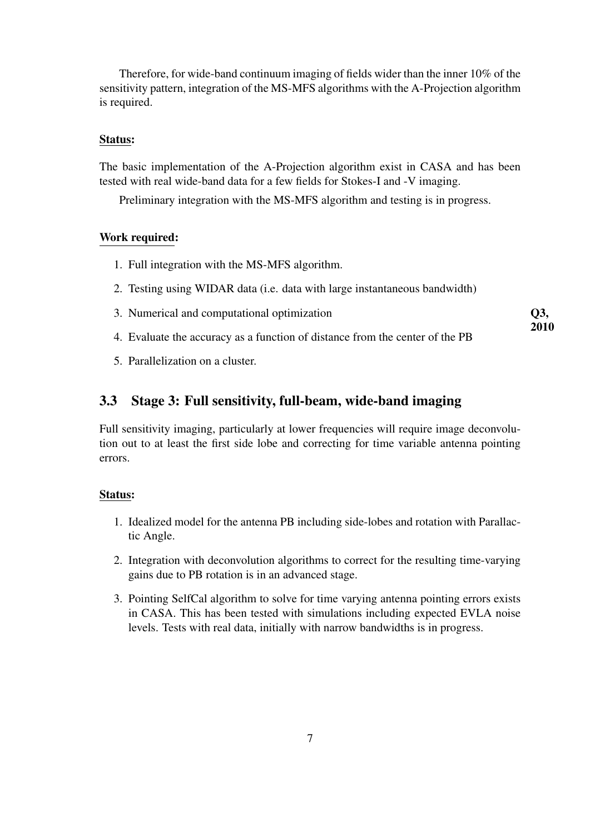Therefore, for wide-band continuum imaging of fields wider than the inner 10% of the sensitivity pattern, integration of the MS-MFS algorithms with the A-Projection algorithm is required.

#### Status:

The basic implementation of the A-Projection algorithm exist in CASA and has been tested with real wide-band data for a few fields for Stokes-I and -V imaging.

Preliminary integration with the MS-MFS algorithm and testing is in progress.

### Work required:

- 1. Full integration with the MS-MFS algorithm.
- 2. Testing using WIDAR data (i.e. data with large instantaneous bandwidth)
- 3. Numerical and computational optimization Q3,
- 4. Evaluate the accuracy as a function of distance from the center of the PB

2010

5. Parallelization on a cluster.

## 3.3 Stage 3: Full sensitivity, full-beam, wide-band imaging

Full sensitivity imaging, particularly at lower frequencies will require image deconvolution out to at least the first side lobe and correcting for time variable antenna pointing errors.

#### Status:

- 1. Idealized model for the antenna PB including side-lobes and rotation with Parallactic Angle.
- 2. Integration with deconvolution algorithms to correct for the resulting time-varying gains due to PB rotation is in an advanced stage.
- 3. Pointing SelfCal algorithm to solve for time varying antenna pointing errors exists in CASA. This has been tested with simulations including expected EVLA noise levels. Tests with real data, initially with narrow bandwidths is in progress.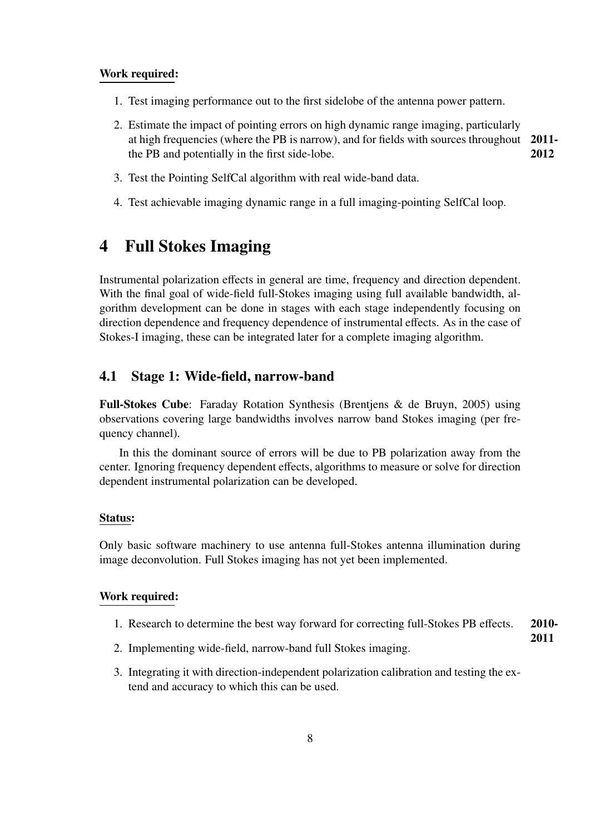## Work required:

- 1. Test imaging performance out to the first sidelobe of the antenna power pattern.
- 2. Estimate the impact of pointing errors on high dynamic range imaging, particularly at high frequencies (where the PB is narrow), and for fields with sources throughout 2011 the PB and potentially in the first side-lobe. 2012
- 3. Test the Pointing SelfCal algorithm with real wide-band data.
- 4. Test achievable imaging dynamic range in a full imaging-pointing SelfCal loop.

## 4 Full Stokes Imaging

Instrumental polarization effects in general are time, frequency and direction dependent. With the final goal of wide-field full-Stokes imaging using full available bandwidth, algorithm development can be done in stages with each stage independently focusing on direction dependence and frequency dependence of instrumental effects. As in the case of Stokes-I imaging, these can be integrated later for a complete imaging algorithm.

## 4.1 Stage 1: Wide-field, narrow-band

Full-Stokes Cube: Faraday Rotation Synthesis (Brentjens & de Bruyn, 2005) using observations covering large bandwidths involves narrow band Stokes imaging (per frequency channel).

In this the dominant source of errors will be due to PB polarization away from the center. Ignoring frequency dependent effects, algorithms to measure or solve for direction dependent instrumental polarization can be developed.

### Status:

Only basic software machinery to use antenna full-Stokes antenna illumination during image deconvolution. Full Stokes imaging has not yet been implemented.

#### Work required:

- 1. Research to determine the best way forward for correcting full-Stokes PB effects. 2010-
- 2. Implementing wide-field, narrow-band full Stokes imaging.

2011

3. Integrating it with direction-independent polarization calibration and testing the extend and accuracy to which this can be used.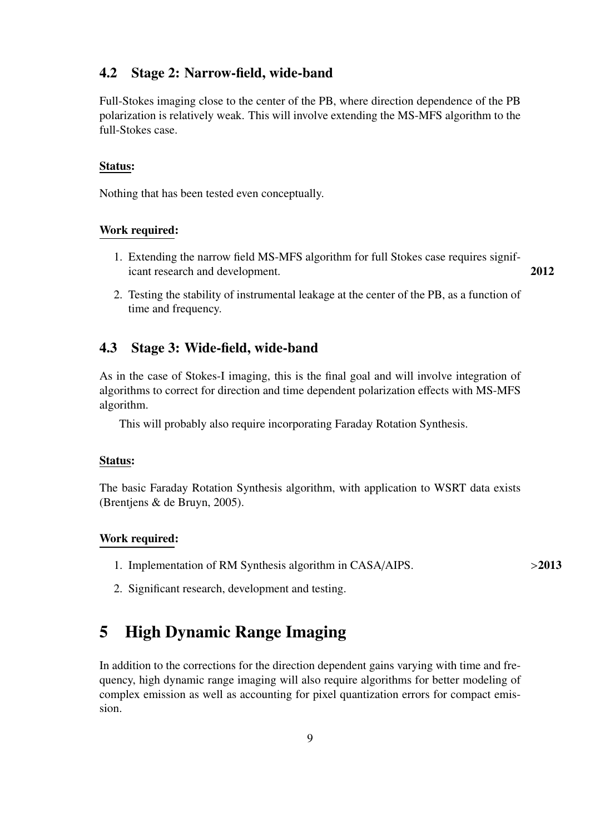## 4.2 Stage 2: Narrow-field, wide-band

Full-Stokes imaging close to the center of the PB, where direction dependence of the PB polarization is relatively weak. This will involve extending the MS-MFS algorithm to the full-Stokes case.

#### Status:

Nothing that has been tested even conceptually.

### Work required:

- 1. Extending the narrow field MS-MFS algorithm for full Stokes case requires significant research and development. 2012
- 2. Testing the stability of instrumental leakage at the center of the PB, as a function of time and frequency.

## 4.3 Stage 3: Wide-field, wide-band

As in the case of Stokes-I imaging, this is the final goal and will involve integration of algorithms to correct for direction and time dependent polarization effects with MS-MFS algorithm.

This will probably also require incorporating Faraday Rotation Synthesis.

#### Status:

The basic Faraday Rotation Synthesis algorithm, with application to WSRT data exists (Brentjens & de Bruyn, 2005).

#### Work required:

1. Implementation of RM Synthesis algorithm in CASA/AIPS. >2013

2. Significant research, development and testing.

## 5 High Dynamic Range Imaging

In addition to the corrections for the direction dependent gains varying with time and frequency, high dynamic range imaging will also require algorithms for better modeling of complex emission as well as accounting for pixel quantization errors for compact emission.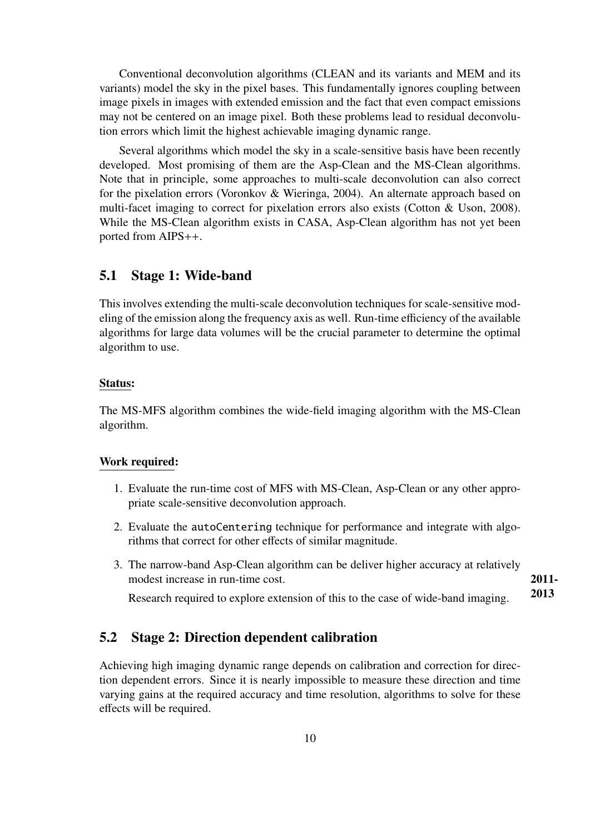Conventional deconvolution algorithms (CLEAN and its variants and MEM and its variants) model the sky in the pixel bases. This fundamentally ignores coupling between image pixels in images with extended emission and the fact that even compact emissions may not be centered on an image pixel. Both these problems lead to residual deconvolution errors which limit the highest achievable imaging dynamic range.

Several algorithms which model the sky in a scale-sensitive basis have been recently developed. Most promising of them are the Asp-Clean and the MS-Clean algorithms. Note that in principle, some approaches to multi-scale deconvolution can also correct for the pixelation errors (Voronkov & Wieringa, 2004). An alternate approach based on multi-facet imaging to correct for pixelation errors also exists (Cotton & Uson, 2008). While the MS-Clean algorithm exists in CASA, Asp-Clean algorithm has not yet been ported from AIPS++.

## 5.1 Stage 1: Wide-band

This involves extending the multi-scale deconvolution techniques for scale-sensitive modeling of the emission along the frequency axis as well. Run-time efficiency of the available algorithms for large data volumes will be the crucial parameter to determine the optimal algorithm to use.

#### Status:

The MS-MFS algorithm combines the wide-field imaging algorithm with the MS-Clean algorithm.

### Work required:

- 1. Evaluate the run-time cost of MFS with MS-Clean, Asp-Clean or any other appropriate scale-sensitive deconvolution approach.
- 2. Evaluate the autoCentering technique for performance and integrate with algorithms that correct for other effects of similar magnitude.
- 3. The narrow-band Asp-Clean algorithm can be deliver higher accuracy at relatively modest increase in run-time cost. 2011-

2013 Research required to explore extension of this to the case of wide-band imaging.

## 5.2 Stage 2: Direction dependent calibration

Achieving high imaging dynamic range depends on calibration and correction for direction dependent errors. Since it is nearly impossible to measure these direction and time varying gains at the required accuracy and time resolution, algorithms to solve for these effects will be required.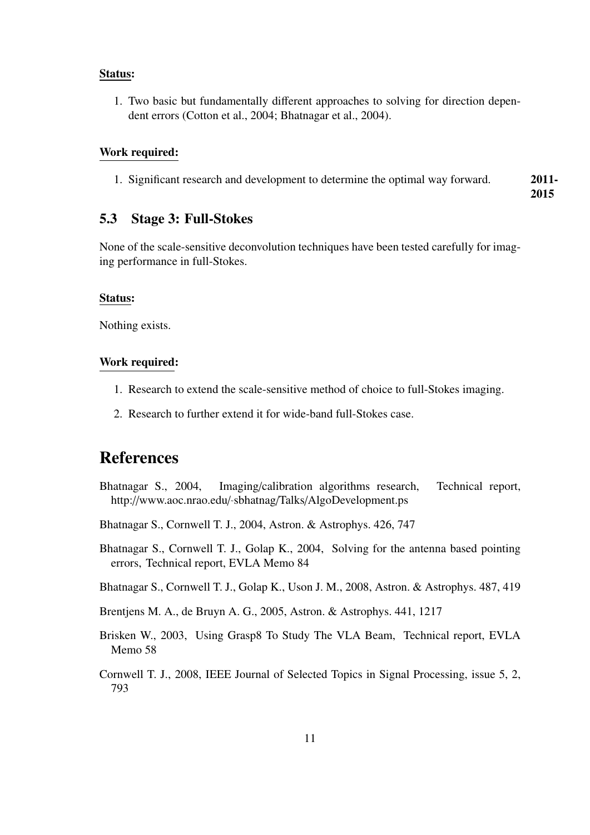### Status:

1. Two basic but fundamentally different approaches to solving for direction dependent errors (Cotton et al., 2004; Bhatnagar et al., 2004).

### Work required:

1. Significant research and development to determine the optimal way forward. 2011-

2015

## 5.3 Stage 3: Full-Stokes

None of the scale-sensitive deconvolution techniques have been tested carefully for imaging performance in full-Stokes.

#### Status:

Nothing exists.

### Work required:

- 1. Research to extend the scale-sensitive method of choice to full-Stokes imaging.
- 2. Research to further extend it for wide-band full-Stokes case.

## References

- Bhatnagar S., 2004, Imaging/calibration algorithms research, Technical report, http://www.aoc.nrao.edu/˜sbhatnag/Talks/AlgoDevelopment.ps
- Bhatnagar S., Cornwell T. J., 2004, Astron. & Astrophys. 426, 747
- Bhatnagar S., Cornwell T. J., Golap K., 2004, Solving for the antenna based pointing errors, Technical report, EVLA Memo 84
- Bhatnagar S., Cornwell T. J., Golap K., Uson J. M., 2008, Astron. & Astrophys. 487, 419
- Brentjens M. A., de Bruyn A. G., 2005, Astron. & Astrophys. 441, 1217
- Brisken W., 2003, Using Grasp8 To Study The VLA Beam, Technical report, EVLA Memo 58
- Cornwell T. J., 2008, IEEE Journal of Selected Topics in Signal Processing, issue 5, 2, 793